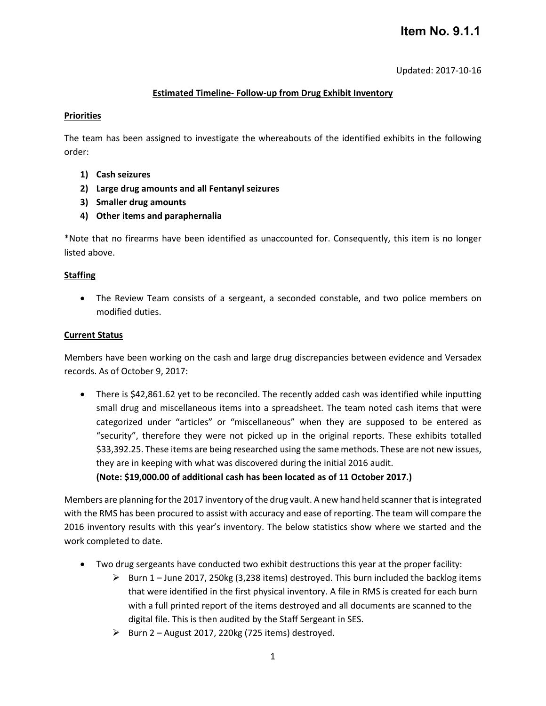# **Item No. 9.1.1**

Updated: 2017-10-16

## **Estimated Timeline- Follow-up from Drug Exhibit Inventory**

### **Priorities**

The team has been assigned to investigate the whereabouts of the identified exhibits in the following order:

- **1) Cash seizures**
- **2) Large drug amounts and all Fentanyl seizures**
- **3) Smaller drug amounts**
- **4) Other items and paraphernalia**

\*Note that no firearms have been identified as unaccounted for. Consequently, this item is no longer listed above.

### **Staffing**

• The Review Team consists of a sergeant, a seconded constable, and two police members on modified duties.

#### **Current Status**

Members have been working on the cash and large drug discrepancies between evidence and Versadex records. As of October 9, 2017:

• There is \$42,861.62 yet to be reconciled. The recently added cash was identified while inputting small drug and miscellaneous items into a spreadsheet. The team noted cash items that were categorized under "articles" or "miscellaneous" when they are supposed to be entered as "security", therefore they were not picked up in the original reports. These exhibits totalled \$33,392.25. These items are being researched using the same methods. These are not new issues, they are in keeping with what was discovered during the initial 2016 audit. **(Note: \$19,000.00 of additional cash has been located as of 11 October 2017.)**

Members are planning for the 2017 inventory of the drug vault. A new hand held scannerthat is integrated

with the RMS has been procured to assist with accuracy and ease of reporting. The team will compare the 2016 inventory results with this year's inventory. The below statistics show where we started and the work completed to date.

- Two drug sergeants have conducted two exhibit destructions this year at the proper facility:
	- $\triangleright$  Burn 1 June 2017, 250kg (3,238 items) destroyed. This burn included the backlog items that were identified in the first physical inventory. A file in RMS is created for each burn with a full printed report of the items destroyed and all documents are scanned to the digital file. This is then audited by the Staff Sergeant in SES.
	- $\triangleright$  Burn 2 August 2017, 220kg (725 items) destroyed.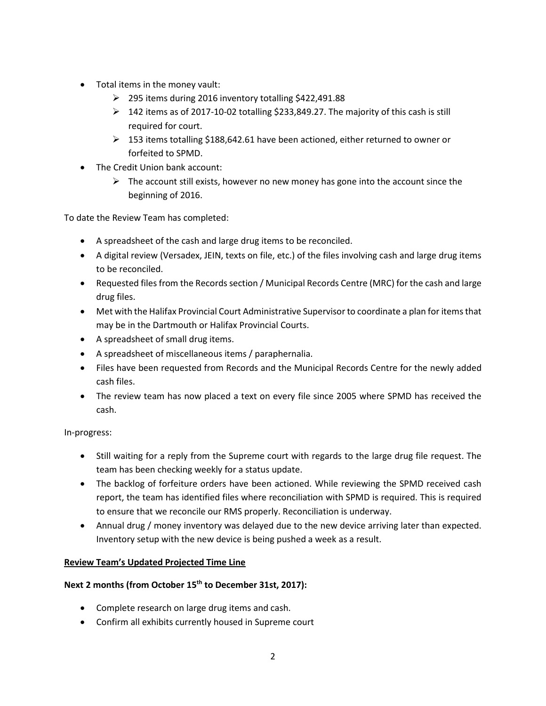- Total items in the money vault:
	- 295 items during 2016 inventory totalling \$422,491.88
	- $\triangleright$  142 items as of 2017-10-02 totalling \$233,849.27. The majority of this cash is still required for court.
	- $\geq 153$  items totalling \$188,642.61 have been actioned, either returned to owner or forfeited to SPMD.
- The Credit Union bank account:
	- $\triangleright$  The account still exists, however no new money has gone into the account since the beginning of 2016.

To date the Review Team has completed:

- A spreadsheet of the cash and large drug items to be reconciled.
- A digital review (Versadex, JEIN, texts on file, etc.) of the files involving cash and large drug items to be reconciled.
- Requested files from the Records section / Municipal Records Centre (MRC) for the cash and large drug files.
- Met with the Halifax Provincial Court Administrative Supervisor to coordinate a plan for items that may be in the Dartmouth or Halifax Provincial Courts.
- A spreadsheet of small drug items.
- A spreadsheet of miscellaneous items / paraphernalia.
- Files have been requested from Records and the Municipal Records Centre for the newly added cash files.
- The review team has now placed a text on every file since 2005 where SPMD has received the cash.

In-progress:

- Still waiting for a reply from the Supreme court with regards to the large drug file request. The team has been checking weekly for a status update.
- The backlog of forfeiture orders have been actioned. While reviewing the SPMD received cash report, the team has identified files where reconciliation with SPMD is required. This is required to ensure that we reconcile our RMS properly. Reconciliation is underway.
- Annual drug / money inventory was delayed due to the new device arriving later than expected. Inventory setup with the new device is being pushed a week as a result.

## **Review Team's Updated Projected Time Line**

## **Next 2 months (from October 15th to December 31st, 2017):**

- Complete research on large drug items and cash.
- Confirm all exhibits currently housed in Supreme court